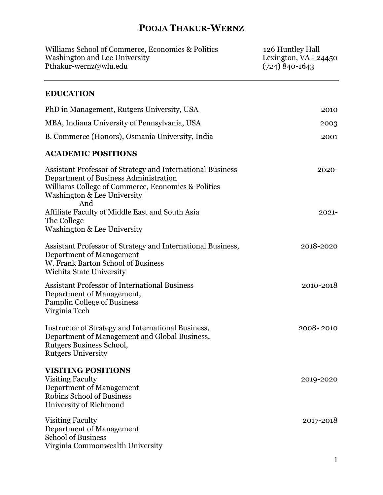| Williams School of Commerce, Economics & Politics<br>Washington and Lee University<br>Pthakur-wernz@wlu.edu                                                                                     | 126 Huntley Hall<br>Lexington, $VA - 24450$<br>$(724) 840 - 1643$ |
|-------------------------------------------------------------------------------------------------------------------------------------------------------------------------------------------------|-------------------------------------------------------------------|
| <b>EDUCATION</b>                                                                                                                                                                                |                                                                   |
| PhD in Management, Rutgers University, USA                                                                                                                                                      | 2010                                                              |
| MBA, Indiana University of Pennsylvania, USA                                                                                                                                                    | 2003                                                              |
| B. Commerce (Honors), Osmania University, India                                                                                                                                                 | 2001                                                              |
| <b>ACADEMIC POSITIONS</b>                                                                                                                                                                       |                                                                   |
| Assistant Professor of Strategy and International Business<br>Department of Business Administration<br>Williams College of Commerce, Economics & Politics<br>Washington & Lee University<br>And | 2020-                                                             |
| Affiliate Faculty of Middle East and South Asia<br>The College<br>Washington & Lee University                                                                                                   | $2021 -$                                                          |
| Assistant Professor of Strategy and International Business,<br>Department of Management<br>W. Frank Barton School of Business<br>Wichita State University                                       | 2018-2020                                                         |
| <b>Assistant Professor of International Business</b><br>Department of Management,<br><b>Pamplin College of Business</b><br>Virginia Tech                                                        | 2010-2018                                                         |
| Instructor of Strategy and International Business,<br>Department of Management and Global Business,<br>Rutgers Business School,<br><b>Rutgers University</b>                                    | 2008-2010                                                         |
| <b>VISITING POSITIONS</b><br><b>Visiting Faculty</b><br>Department of Management<br><b>Robins School of Business</b><br>University of Richmond                                                  | 2019-2020                                                         |
| <b>Visiting Faculty</b><br>Department of Management<br><b>School of Business</b><br>Virginia Commonwealth University                                                                            | 2017-2018                                                         |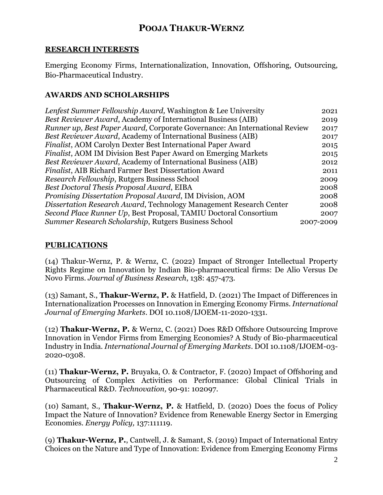#### **RESEARCH INTERESTS**

Emerging Economy Firms, Internationalization, Innovation, Offshoring, Outsourcing, Bio-Pharmaceutical Industry.

### **AWARDS AND SCHOLARSHIPS**

| Lenfest Summer Fellowship Award, Washington & Lee University               | 2021      |
|----------------------------------------------------------------------------|-----------|
| <b>Best Reviewer Award, Academy of International Business (AIB)</b>        | 2019      |
| Runner up, Best Paper Award, Corporate Governance: An International Review | 2017      |
| Best Reviewer Award, Academy of International Business (AIB)               | 2017      |
| Finalist, AOM Carolyn Dexter Best International Paper Award                | 2015      |
| <i>Finalist</i> , AOM IM Division Best Paper Award on Emerging Markets     | 2015      |
| Best Reviewer Award, Academy of International Business (AIB)               | 2012      |
| <b>Finalist, AIB Richard Farmer Best Dissertation Award</b>                | 2011      |
| Research Fellowship, Rutgers Business School                               | 2009      |
| Best Doctoral Thesis Proposal Award, EIBA                                  | 2008      |
| <i>Promising Dissertation Proposal Award, IM Division, AOM</i>             | 2008      |
| Dissertation Research Award, Technology Management Research Center         | 2008      |
| Second Place Runner Up, Best Proposal, TAMIU Doctoral Consortium           | 2007      |
| Summer Research Scholarship, Rutgers Business School                       | 2007-2009 |

### **PUBLICATIONS**

(14) Thakur-Wernz, P. & Wernz, C. (2022) Impact of Stronger Intellectual Property Rights Regime on Innovation by Indian Bio-pharmaceutical firms: De Alio Versus De Novo Firms. *Journal of Business Research*, 138: 457-473.

(13) Samant, S., **Thakur-Wernz, P.** & Hatfield, D. (2021) The Impact of Differences in Internationalization Processes on Innovation in Emerging Economy Firms. *International Journal of Emerging Markets*. DOI 10.1108/IJOEM-11-2020-1331.

(12) **Thakur-Wernz, P.** & Wernz, C. (2021) Does R&D Offshore Outsourcing Improve Innovation in Vendor Firms from Emerging Economies? A Study of Bio-pharmaceutical Industry in India. *International Journal of Emerging Markets*. DOI 10.1108/IJOEM-03- 2020-0308.

(11) **Thakur-Wernz, P.** Bruyaka, O. & Contractor, F. (2020) Impact of Offshoring and Outsourcing of Complex Activities on Performance: Global Clinical Trials in Pharmaceutical R&D. *Technovation,* 90-91: 102097.

(10) Samant, S., **Thakur-Wernz, P.** & Hatfield, D. (2020) Does the focus of Policy Impact the Nature of Innovation? Evidence from Renewable Energy Sector in Emerging Economies. *Energy Policy,* 137:111119.

(9) **Thakur-Wernz, P.**, Cantwell, J. & Samant, S. (2019) Impact of International Entry Choices on the Nature and Type of Innovation: Evidence from Emerging Economy Firms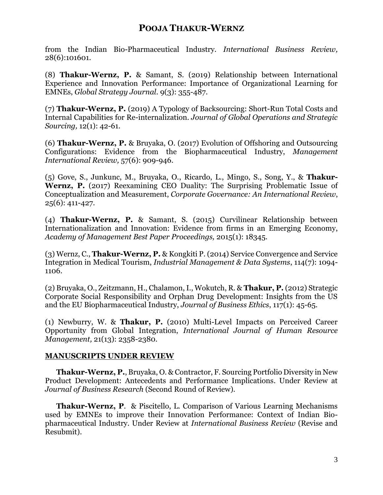from the Indian Bio-Pharmaceutical Industry. *International Business Review,*  28(6):101601.

(8) **Thakur-Wernz, P.** & Samant, S. (2019) Relationship between International Experience and Innovation Performance: Importance of Organizational Learning for EMNEs, *Global Strategy Journal.* 9(3): 355-487.

(7) **Thakur-Wernz, P.** (2019) A Typology of Backsourcing: Short-Run Total Costs and Internal Capabilities for Re-internalization. *Journal of Global Operations and Strategic Sourcing,* 12(1): 42-61.

(6) **Thakur-Wernz, P.** & Bruyaka, O. (2017) Evolution of Offshoring and Outsourcing Configurations: Evidence from the Biopharmaceutical Industry, *Management International Review,* 57(6): 909-946.

(5) Gove, S., Junkunc, M., Bruyaka, O., Ricardo, L., Mingo, S., Song, Y., & **Thakur-Wernz, P.** (2017) Reexamining CEO Duality: The Surprising Problematic Issue of Conceptualization and Measurement, *Corporate Governance: An International Review*, 25(6): 411-427.

(4) **Thakur-Wernz, P.** & Samant, S. (2015) Curvilinear Relationship between Internationalization and Innovation: Evidence from firms in an Emerging Economy, *Academy of Management Best Paper Proceedings,* 2015(1): 18345.

(3) Wernz, C., **Thakur-Wernz, P.** & Kongkiti P. (2014) Service Convergence and Service Integration in Medical Tourism, *Industrial Management & Data Systems*, 114(7): 1094- 1106.

(2) Bruyaka, O., Zeitzmann, H., Chalamon, I., Wokutch, R. & **Thakur, P.** (2012) Strategic Corporate Social Responsibility and Orphan Drug Development: Insights from the US and the EU Biopharmaceutical Industry, *Journal of Business Ethics*, 117(1): 45-65.

(1) Newburry, W. & **Thakur, P.** (2010) Multi-Level Impacts on Perceived Career Opportunity from Global Integration, *International Journal of Human Resource Management,* 21(13): 2358-2380.

### **MANUSCRIPTS UNDER REVIEW**

**Thakur-Wernz, P.**, Bruyaka, O. & Contractor, F. Sourcing Portfolio Diversity in New Product Development: Antecedents and Performance Implications. Under Review at *Journal of Business Research* (Second Round of Review)*.*

**Thakur-Wernz, P**. & Piscitello, L. Comparison of Various Learning Mechanisms used by EMNEs to improve their Innovation Performance: Context of Indian Biopharmaceutical Industry. Under Review at *International Business Review* (Revise and Resubmit).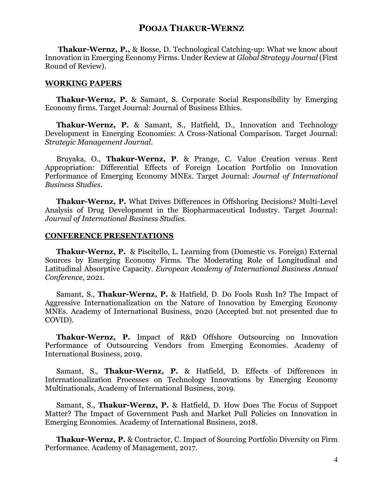**Thakur-Wernz, P.,** & Bosse, D. Technological Catching-up: What we know about Innovation in Emerging Economy Firms. Under Review at *Global Strategy Journal* (First Round of Review).

#### **WORKING PAPERS**

**Thakur-Wernz, P.** & Samant, S. Corporate Social Responsibility by Emerging Economy firms. Target Journal: Journal of Business Ethics.

**Thakur-Wernz, P.** & Samant, S., Hatfield, D., Innovation and Technology Development in Emerging Economies: A Cross-National Comparison. Target Journal: *Strategic Management Journal*.

Bruyaka, O., **Thakur-Wernz, P**. & Prange, C. Value Creation versus Rent Appropriation: Differential Effects of Foreign Location Portfolio on Innovation Performance of Emerging Economy MNEs. Target Journal: *Journal of International Business Studies*.

**Thakur-Wernz, P.** What Drives Differences in Offshoring Decisions? Multi-Level Analysis of Drug Development in the Biopharmaceutical Industry. Target Journal: *Journal of International Business Studies.*

#### **CONFERENCE PRESENTATIONS**

**Thakur-Wernz, P.** & Piscitello, L. Learning from (Domestic vs. Foreign) External Sources by Emerging Economy Firms. The Moderating Role of Longitudinal and Latitudinal Absorptive Capacity. *European Academy of International Business Annual Conference*, 2021.

Samant, S., **Thakur-Wernz, P.** & Hatfield, D. Do Fools Rush In? The Impact of Aggressive Internationalization on the Nature of Innovation by Emerging Economy MNEs. Academy of International Business, 2020 (Accepted but not presented due to COVID).

**Thakur-Wernz, P.** Impact of R&D Offshore Outsourcing on Innovation Performance of Outsourcing Vendors from Emerging Economies. Academy of International Business, 2019.

Samant, S., **Thakur-Wernz, P.** & Hatfield, D. Effects of Differences in Internationalization Processes on Technology Innovations by Emerging Economy Multinationals, Academy of International Business, 2019.

Samant, S., **Thakur-Wernz, P.** & Hatfield, D. How Does The Focus of Support Matter? The Impact of Government Push and Market Pull Policies on Innovation in Emerging Economies. Academy of International Business, 2018.

**Thakur-Wernz, P.** & Contractor, C. Impact of Sourcing Portfolio Diversity on Firm Performance. Academy of Management, 2017.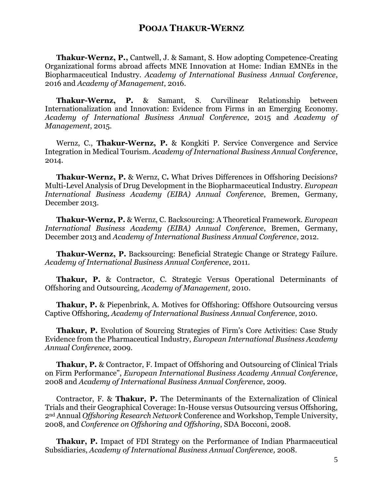**Thakur-Wernz, P.,** Cantwell, J. & Samant, S. How adopting Competence-Creating Organizational forms abroad affects MNE Innovation at Home: Indian EMNEs in the Biopharmaceutical Industry. *Academy of International Business Annual Conference*, 2016 and *Academy of Management*, 2016.

**Thakur-Wernz, P.** & Samant, S. Curvilinear Relationship between Internationalization and Innovation: Evidence from Firms in an Emerging Economy. *Academy of International Business Annual Conference*, 2015 and *Academy of Management*, 2015.

Wernz, C., **Thakur-Wernz, P.** & Kongkiti P. Service Convergence and Service Integration in Medical Tourism. *Academy of International Business Annual Conference*, 2014.

**Thakur-Wernz, P.** & Wernz, C**.** What Drives Differences in Offshoring Decisions? Multi-Level Analysis of Drug Development in the Biopharmaceutical Industry. *European International Business Academy (EIBA) Annual Conference*, Bremen, Germany, December 2013.

**Thakur-Wernz, P.** & Wernz, C. Backsourcing: A Theoretical Framework. *European International Business Academy (EIBA) Annual Conference*, Bremen, Germany, December 2013 and *Academy of International Business Annual Conference*, 2012.

**Thakur-Wernz, P.** Backsourcing: Beneficial Strategic Change or Strategy Failure. *Academy of International Business Annual Conference*, 2011.

**Thakur, P.** & Contractor, C. Strategic Versus Operational Determinants of Offshoring and Outsourcing, *Academy of Management*, 2010.

**Thakur, P.** & Piepenbrink, A. Motives for Offshoring: Offshore Outsourcing versus Captive Offshoring, *Academy of International Business Annual Conference*, 2010.

**Thakur, P.** Evolution of Sourcing Strategies of Firm's Core Activities: Case Study Evidence from the Pharmaceutical Industry, *European International Business Academy Annual Conference*, 2009.

**Thakur, P.** & Contractor, F. Impact of Offshoring and Outsourcing of Clinical Trials on Firm Performance", *European International Business Academy Annual Conference*, 2008 and *Academy of International Business Annual Conference*, 2009.

Contractor, F. & **Thakur, P.** The Determinants of the Externalization of Clinical Trials and their Geographical Coverage: In-House versus Outsourcing versus Offshoring, 2nd Annual *Offshoring Research Network* Conference and Workshop, Temple University, 2008, and *Conference on Offshoring and Offshoring*, SDA Bocconi, 2008.

**Thakur, P.** Impact of FDI Strategy on the Performance of Indian Pharmaceutical Subsidiaries, *Academy of International Business Annual Conference,* 2008.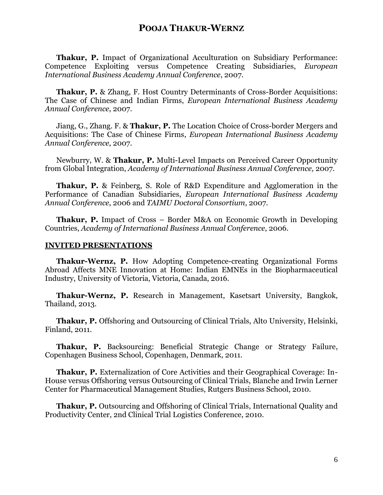**Thakur, P.** Impact of Organizational Acculturation on Subsidiary Performance: Competence Exploiting versus Competence Creating Subsidiaries, *European International Business Academy Annual Conference*, 2007.

**Thakur, P.** & Zhang, F. Host Country Determinants of Cross-Border Acquisitions: The Case of Chinese and Indian Firms, *European International Business Academy Annual Conference*, 2007.

Jiang, G., Zhang. F. & **Thakur, P.** The Location Choice of Cross-border Mergers and Acquisitions: The Case of Chinese Firms, *European International Business Academy Annual Conference*, 2007.

Newburry, W. & **Thakur, P.** Multi-Level Impacts on Perceived Career Opportunity from Global Integration, *Academy of International Business Annual Conference,* 2007.

**Thakur, P.** & Feinberg, S. Role of R&D Expenditure and Agglomeration in the Performance of Canadian Subsidiaries, *European International Business Academy Annual Conference*, 2006 and *TAIMU Doctoral Consortium*, 2007.

**Thakur, P.** Impact of Cross – Border M&A on Economic Growth in Developing Countries, *Academy of International Business Annual Conference*, 2006.

#### **INVITED PRESENTATIONS**

**Thakur-Wernz, P.** How Adopting Competence-creating Organizational Forms Abroad Affects MNE Innovation at Home: Indian EMNEs in the Biopharmaceutical Industry, University of Victoria, Victoria, Canada, 2016.

**Thakur-Wernz, P.** Research in Management, Kasetsart University, Bangkok, Thailand, 2013.

**Thakur, P.** Offshoring and Outsourcing of Clinical Trials, Alto University, Helsinki, Finland, 2011.

**Thakur, P.** Backsourcing: Beneficial Strategic Change or Strategy Failure, Copenhagen Business School, Copenhagen, Denmark, 2011.

**Thakur, P.** Externalization of Core Activities and their Geographical Coverage: In-House versus Offshoring versus Outsourcing of Clinical Trials, Blanche and Irwin Lerner Center for Pharmaceutical Management Studies, Rutgers Business School, 2010.

**Thakur, P.** Outsourcing and Offshoring of Clinical Trials, International Quality and Productivity Center, 2nd Clinical Trial Logistics Conference, 2010.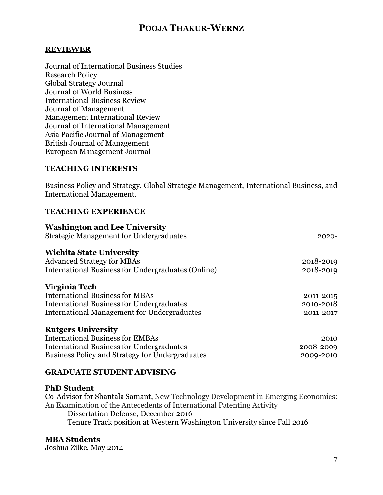#### **REVIEWER**

Journal of International Business Studies Research Policy Global Strategy Journal Journal of World Business International Business Review Journal of Management Management International Review Journal of International Management Asia Pacific Journal of Management British Journal of Management European Management Journal

#### **TEACHING INTERESTS**

Business Policy and Strategy, Global Strategic Management, International Business, and International Management.

#### **TEACHING EXPERIENCE**

| <b>Washington and Lee University</b>               |           |
|----------------------------------------------------|-----------|
| <b>Strategic Management for Undergraduates</b>     | $2020 -$  |
| <b>Wichita State University</b>                    |           |
| <b>Advanced Strategy for MBAs</b>                  | 2018-2019 |
| International Business for Undergraduates (Online) | 2018-2019 |
| Virginia Tech                                      |           |
| <b>International Business for MBAs</b>             | 2011-2015 |
| <b>International Business for Undergraduates</b>   | 2010-2018 |
| <b>International Management for Undergraduates</b> | 2011-2017 |
| <b>Rutgers University</b>                          |           |
| <b>International Business for EMBAs</b>            | 2010      |
| <b>International Business for Undergraduates</b>   | 2008-2009 |
| Business Policy and Strategy for Undergraduates    | 2009-2010 |

#### **GRADUATE STUDENT ADVISING**

#### **PhD Student**

Co-Advisor for Shantala Samant, New Technology Development in Emerging Economies: An Examination of the Antecedents of International Patenting Activity

Dissertation Defense, December 2016 Tenure Track position at Western Washington University since Fall 2016

#### **MBA Students**

Joshua Zilke, May 2014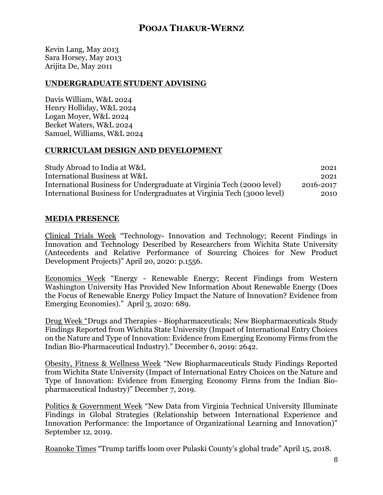Kevin Lang, May 2013 Sara Horsey, May 2013 Arijita De, May 2011

#### **UNDERGRADUATE STUDENT ADVISING**

Davis William, W&L 2024 Henry Holliday, W&L 2024 Logan Moyer, W&L 2024 Becket Waters, W&L 2024 Samuel, Williams, W&L 2024

#### **CURRICULAM DESIGN AND DEVELOPMENT**

| Study Abroad to India at W&L                                            | 2021      |
|-------------------------------------------------------------------------|-----------|
| International Business at W&L                                           | 2021      |
| International Business for Undergraduate at Virginia Tech (2000 level)  | 2016-2017 |
| International Business for Undergraduates at Virginia Tech (3000 level) | 2010      |

#### **MEDIA PRESENCE**

Clinical Trials Week "Technology- Innovation and Technology; Recent Findings in Innovation and Technology Described by Researchers from Wichita State University (Antecedents and Relative Performance of Sourcing Choices for New Product Development Projects)" April 20, 2020: p.1556.

Economics Week "Energy - Renewable Energy; Recent Findings from Western Washington University Has Provided New Information About Renewable Energy (Does the Focus of Renewable Energy Policy Impact the Nature of Innovation? Evidence from Emerging Economies)." April 3, 2020: 689.

Drug Week "Drugs and Therapies - Biopharmaceuticals; New Biopharmaceuticals Study Findings Reported from Wichita State University (Impact of International Entry Choices on the Nature and Type of Innovation: Evidence from Emerging Economy Firms from the Indian Bio-Pharmaceutical Industry)." December 6, 2019: 2642.

Obesity, Fitness & Wellness Week "New Biopharmaceuticals Study Findings Reported from Wichita State University (Impact of International Entry Choices on the Nature and Type of Innovation: Evidence from Emerging Economy Firms from the Indian Biopharmaceutical Industry)" December 7, 2019.

Politics & Government Week "New Data from Virginia Technical University Illuminate Findings in Global Strategies (Relationship between International Experience and Innovation Performance: the Importance of Organizational Learning and Innovation)" September 12, 2019.

Roanoke Times "Trump tariffs loom over Pulaski County's global trade" April 15, 2018.